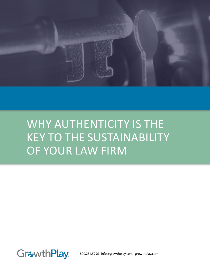

# WHY AUTHENTICITY IS THE KEY TO THE SUSTAINABILITY OF YOUR LAW FIRM



800.254.5995 | info@growthplay.com | growthplay.com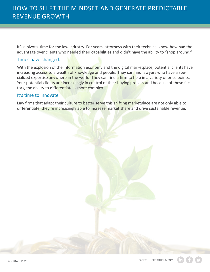It's a pivotal time for the law industry. For years, attorneys with their technical know-how had the advantage over clients who needed their capabilities and didn't have the ability to "shop around."

## Times have changed.

With the explosion of the information economy and the digital marketplace, potential clients have increasing access to a wealth of knowledge and people. They can find lawyers who have a specialized expertise anywhere in the world. They can find a firm to help in a variety of price points. Your potential clients are increasingly in control of their buying process and because of these factors, the ability to differentiate is more complex.

### It's time to innovate.

Law firms that adapt their culture to better serve this shifting marketplace are not only able to differentiate, they're increasingly able to increase market share and drive sustainable revenue.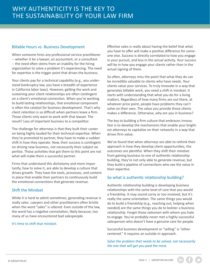#### Billable Hours vs. Business Development

When someone hires any professional service practitioner -- whether it be a lawyer, an accountant, or a consultant -- the need often stems from an inability for the hiring organization to solve a problem it's experiencing. The need for expertise is the trigger point that drives the business.

Your clients pay for a technical capability (e.g., you understand bankruptcy law, you have a breadth of experience in California labor laws). However, getting the work and sustaining your client relationships are often contingent on a client's emotional connection. When you're working to build lasting relationships, that emotional component is often the catalyst for business development. That's why client retention is so difficult when partners leave a firm. Those clients only want to work with that lawyer. The result? Loss of important business to a competitor.

The challenge for attorneys is that they built their career on being highly lauded for their technical expertise. When they're promoted to partner, they have to make a sudden shift in how they operate. Now, their success is contingent on driving new business, not necessarily their subject expertise. Those activities that got them to this point are not what will make them a successful partner.

Firms that understand this dichotomy and more importantly, how to solve it, are able to develop a culture that drives growth. They have the tools, processes, and content in place that enable their partners to continuously build the emotional connections that generate revenue.

#### Shift the Mindset

While it is hard to admit sometimes, generating revenue is really sales. Lawyers and other practitioners often bristle when the word "sales" is uttered. Even outside of the law, the word has a negative connotation, likely because, too many of us have encountered bad salespeople.

#### It's time to shift that mindset.

Effective sales is really about having the belief that what you have to offer will make a positive difference for someone else. Success is directly correlated to how you engage in your pursuit, and less in the actual activity. Your success will be in how you engage your clients rather than in the actual signing of them.

So often, attorneys miss the point that what they do can be incredibly valuable to clients who have needs. Your clients value your services. To truly innovate in a way that generates billable work, you need a shift in mindset. It starts with understanding that what you do for a living matters. Regardless of how many firms are out there, at whatever price point, people have problems they can't solve on their own. The value you provide those clients makes a difference. Otherwise, why are you in business?

The key to building a firm culture that embraces innovation is to develop the mechanisms that enable your brightest attorneys to capitalize on their networks in a way that drives firm value.

We've found that when attorneys are able to rethink their approach in how they develop client opportunities, the outcomes are plentiful. When they shift their mindset from gaining business to one of authentic relationship building, they're not only able to generate revenue, but they build a pipeline of connections who see the value in their expertise.

#### So what is authentic relationship building?

Authentic relationship building is developing business relationships with the same level of care that you would a friendship. It may sound corny or too involved, but it's really the same orientation. The same things you would do to build a friendship (e.g., reaching out, helping when needed) are the same things you do to bolster a business relationship. Forget those salesmen with whom you hate to engage. You've probably never met a highly successful salesperson who doesn't have a genuine care for people.

Successful business development or "selling" is "othercentered." It requires an outside-in approach.

#### *Solve the problem that needs to be solved, not necessarily the one that will get you paid the most.*